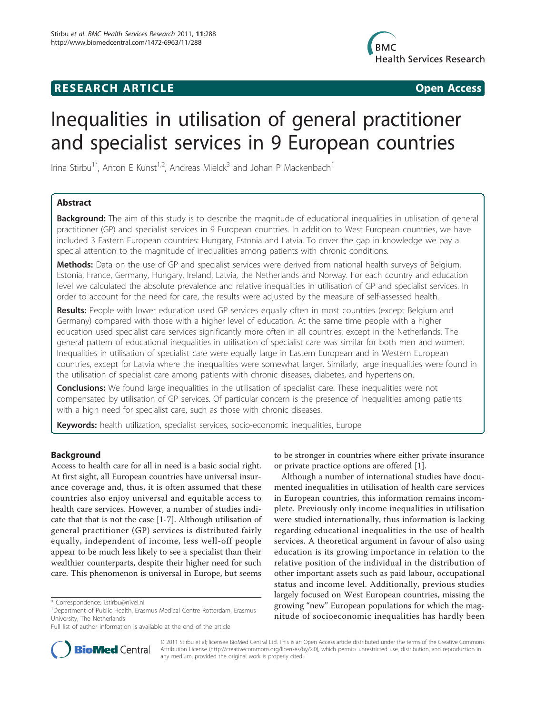## **RESEARCH ARTICLE Example 2018 12:00 Open Access**



# Inequalities in utilisation of general practitioner and specialist services in 9 European countries

Irina Stirbu<sup>1\*</sup>, Anton E Kunst<sup>1,2</sup>, Andreas Mielck<sup>3</sup> and Johan P Mackenbach<sup>1</sup>

## Abstract

Background: The aim of this study is to describe the magnitude of educational inequalities in utilisation of general practitioner (GP) and specialist services in 9 European countries. In addition to West European countries, we have included 3 Eastern European countries: Hungary, Estonia and Latvia. To cover the gap in knowledge we pay a special attention to the magnitude of inequalities among patients with chronic conditions.

Methods: Data on the use of GP and specialist services were derived from national health surveys of Belgium, Estonia, France, Germany, Hungary, Ireland, Latvia, the Netherlands and Norway. For each country and education level we calculated the absolute prevalence and relative inequalities in utilisation of GP and specialist services. In order to account for the need for care, the results were adjusted by the measure of self-assessed health.

Results: People with lower education used GP services equally often in most countries (except Belgium and Germany) compared with those with a higher level of education. At the same time people with a higher education used specialist care services significantly more often in all countries, except in the Netherlands. The general pattern of educational inequalities in utilisation of specialist care was similar for both men and women. Inequalities in utilisation of specialist care were equally large in Eastern European and in Western European countries, except for Latvia where the inequalities were somewhat larger. Similarly, large inequalities were found in the utilisation of specialist care among patients with chronic diseases, diabetes, and hypertension.

**Conclusions:** We found large inequalities in the utilisation of specialist care. These inequalities were not compensated by utilisation of GP services. Of particular concern is the presence of inequalities among patients with a high need for specialist care, such as those with chronic diseases.

Keywords: health utilization, specialist services, socio-economic inequalities, Europe

## Background

Access to health care for all in need is a basic social right. At first sight, all European countries have universal insurance coverage and, thus, it is often assumed that these countries also enjoy universal and equitable access to health care services. However, a number of studies indicate that that is not the case [\[1-7](#page-6-0)]. Although utilisation of general practitioner (GP) services is distributed fairly equally, independent of income, less well-off people appear to be much less likely to see a specialist than their wealthier counterparts, despite their higher need for such care. This phenomenon is universal in Europe, but seems

to be stronger in countries where either private insurance or private practice options are offered [[1\]](#page-6-0).

Although a number of international studies have documented inequalities in utilisation of health care services in European countries, this information remains incomplete. Previously only income inequalities in utilisation were studied internationally, thus information is lacking regarding educational inequalities in the use of health services. A theoretical argument in favour of also using education is its growing importance in relation to the relative position of the individual in the distribution of other important assets such as paid labour, occupational status and income level. Additionally, previous studies largely focused on West European countries, missing the growing "new" European populations for which the magnitude of socioeconomic inequalities has hardly been



© 2011 Stirbu et al; licensee BioMed Central Ltd. This is an Open Access article distributed under the terms of the Creative Commons Attribution License [\(http://creativecommons.org/licenses/by/2.0](http://creativecommons.org/licenses/by/2.0)), which permits unrestricted use, distribution, and reproduction in any medium, provided the original work is properly cited.

<sup>\*</sup> Correspondence: [i.stirbu@nivel.nl](mailto:i.stirbu@nivel.nl)

<sup>&</sup>lt;sup>1</sup>Department of Public Health, Erasmus Medical Centre Rotterdam, Erasmus University, The Netherlands

Full list of author information is available at the end of the article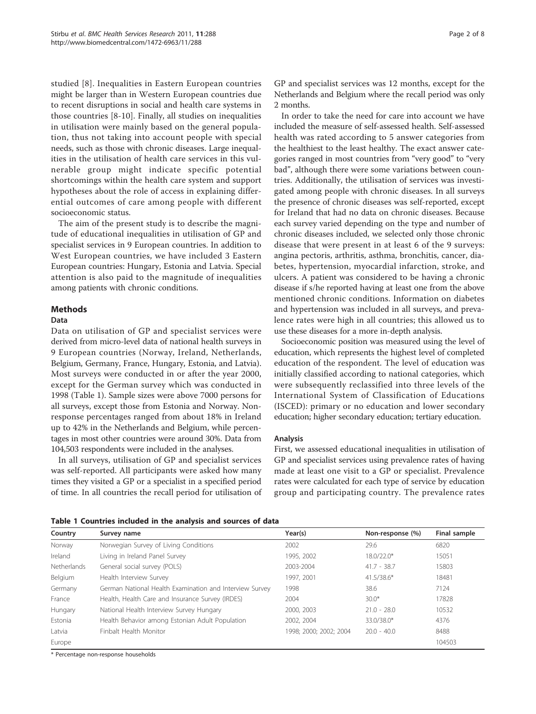studied [\[8](#page-6-0)]. Inequalities in Eastern European countries might be larger than in Western European countries due to recent disruptions in social and health care systems in those countries [\[8](#page-6-0)-[10\]](#page-6-0). Finally, all studies on inequalities in utilisation were mainly based on the general population, thus not taking into account people with special needs, such as those with chronic diseases. Large inequalities in the utilisation of health care services in this vulnerable group might indicate specific potential shortcomings within the health care system and support hypotheses about the role of access in explaining differential outcomes of care among people with different socioeconomic status.

The aim of the present study is to describe the magnitude of educational inequalities in utilisation of GP and specialist services in 9 European countries. In addition to West European countries, we have included 3 Eastern European countries: Hungary, Estonia and Latvia. Special attention is also paid to the magnitude of inequalities among patients with chronic conditions.

## Methods

## Data

Data on utilisation of GP and specialist services were derived from micro-level data of national health surveys in 9 European countries (Norway, Ireland, Netherlands, Belgium, Germany, France, Hungary, Estonia, and Latvia). Most surveys were conducted in or after the year 2000, except for the German survey which was conducted in 1998 (Table 1). Sample sizes were above 7000 persons for all surveys, except those from Estonia and Norway. Nonresponse percentages ranged from about 18% in Ireland up to 42% in the Netherlands and Belgium, while percentages in most other countries were around 30%. Data from 104,503 respondents were included in the analyses.

In all surveys, utilisation of GP and specialist services was self-reported. All participants were asked how many times they visited a GP or a specialist in a specified period of time. In all countries the recall period for utilisation of

GP and specialist services was 12 months, except for the Netherlands and Belgium where the recall period was only 2 months.

In order to take the need for care into account we have included the measure of self-assessed health. Self-assessed health was rated according to 5 answer categories from the healthiest to the least healthy. The exact answer categories ranged in most countries from "very good" to "very bad", although there were some variations between countries. Additionally, the utilisation of services was investigated among people with chronic diseases. In all surveys the presence of chronic diseases was self-reported, except for Ireland that had no data on chronic diseases. Because each survey varied depending on the type and number of chronic diseases included, we selected only those chronic disease that were present in at least 6 of the 9 surveys: angina pectoris, arthritis, asthma, bronchitis, cancer, diabetes, hypertension, myocardial infarction, stroke, and ulcers. A patient was considered to be having a chronic disease if s/he reported having at least one from the above mentioned chronic conditions. Information on diabetes and hypertension was included in all surveys, and prevalence rates were high in all countries; this allowed us to use these diseases for a more in-depth analysis.

Socioeconomic position was measured using the level of education, which represents the highest level of completed education of the respondent. The level of education was initially classified according to national categories, which were subsequently reclassified into three levels of the International System of Classification of Educations (ISCED): primary or no education and lower secondary education; higher secondary education; tertiary education.

## Analysis

First, we assessed educational inequalities in utilisation of GP and specialist services using prevalence rates of having made at least one visit to a GP or specialist. Prevalence rates were calculated for each type of service by education group and participating country. The prevalence rates

|                | Table I Countiles included in the analysis and sources of data |                        |                  |                     |
|----------------|----------------------------------------------------------------|------------------------|------------------|---------------------|
| Country        | Survey name                                                    | Year(s)                | Non-response (%) | <b>Final sample</b> |
| Norway         | Norwegian Survey of Living Conditions                          | 2002                   | 29.6             | 6820                |
| Ireland        | Living in Ireland Panel Survey                                 | 1995, 2002             | 18.0/22.0*       | 15051               |
| Netherlands    | General social survey (POLS)                                   | 2003-2004              | $41.7 - 38.7$    | 15803               |
| Belgium        | Health Interview Survey                                        | 1997, 2001             | $41.5/38.6*$     | 18481               |
| Germany        | German National Health Examination and Interview Survey        | 1998                   | 38.6             | 7124                |
| France         | Health, Health Care and Insurance Survey (IRDES)               | 2004                   | $30.0*$          | 17828               |
| <b>Hungary</b> | National Health Interview Survey Hungary                       | 2000, 2003             | $21.0 - 28.0$    | 10532               |
| Estonia        | Health Behavior among Estonian Adult Population                | 2002, 2004             | 33.0/38.0*       | 4376                |
| Latvia         | Finbalt Health Monitor                                         | 1998: 2000: 2002: 2004 | $20.0 - 40.0$    | 8488                |
| Europe         |                                                                |                        |                  | 104503              |

Table 1 Countries included in the analysis and sources of data

\* Percentage non-response households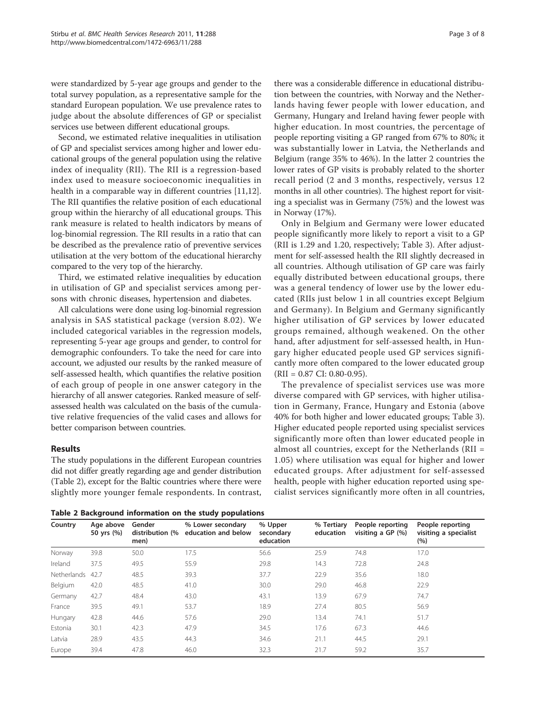were standardized by 5-year age groups and gender to the total survey population, as a representative sample for the standard European population. We use prevalence rates to judge about the absolute differences of GP or specialist services use between different educational groups.

Second, we estimated relative inequalities in utilisation of GP and specialist services among higher and lower educational groups of the general population using the relative index of inequality (RII). The RII is a regression-based index used to measure socioeconomic inequalities in health in a comparable way in different countries [[11,12](#page-6-0)]. The RII quantifies the relative position of each educational group within the hierarchy of all educational groups. This rank measure is related to health indicators by means of log-binomial regression. The RII results in a ratio that can be described as the prevalence ratio of preventive services utilisation at the very bottom of the educational hierarchy compared to the very top of the hierarchy.

Third, we estimated relative inequalities by education in utilisation of GP and specialist services among persons with chronic diseases, hypertension and diabetes.

All calculations were done using log-binomial regression analysis in SAS statistical package (version 8.02). We included categorical variables in the regression models, representing 5-year age groups and gender, to control for demographic confounders. To take the need for care into account, we adjusted our results by the ranked measure of self-assessed health, which quantifies the relative position of each group of people in one answer category in the hierarchy of all answer categories. Ranked measure of selfassessed health was calculated on the basis of the cumulative relative frequencies of the valid cases and allows for better comparison between countries.

## Results

The study populations in the different European countries did not differ greatly regarding age and gender distribution (Table 2), except for the Baltic countries where there were slightly more younger female respondents. In contrast,

there was a considerable difference in educational distribution between the countries, with Norway and the Netherlands having fewer people with lower education, and Germany, Hungary and Ireland having fewer people with higher education. In most countries, the percentage of people reporting visiting a GP ranged from 67% to 80%; it was substantially lower in Latvia, the Netherlands and Belgium (range 35% to 46%). In the latter 2 countries the lower rates of GP visits is probably related to the shorter recall period (2 and 3 months, respectively, versus 12 months in all other countries). The highest report for visiting a specialist was in Germany (75%) and the lowest was in Norway (17%).

Only in Belgium and Germany were lower educated people significantly more likely to report a visit to a GP (RII is 1.29 and 1.20, respectively; Table [3\)](#page-3-0). After adjustment for self-assessed health the RII slightly decreased in all countries. Although utilisation of GP care was fairly equally distributed between educational groups, there was a general tendency of lower use by the lower educated (RIIs just below 1 in all countries except Belgium and Germany). In Belgium and Germany significantly higher utilisation of GP services by lower educated groups remained, although weakened. On the other hand, after adjustment for self-assessed health, in Hungary higher educated people used GP services significantly more often compared to the lower educated group (RII = 0.87 CI: 0.80-0.95).

The prevalence of specialist services use was more diverse compared with GP services, with higher utilisation in Germany, France, Hungary and Estonia (above 40% for both higher and lower educated groups; Table [3](#page-3-0)). Higher educated people reported using specialist services significantly more often than lower educated people in almost all countries, except for the Netherlands (RII = 1.05) where utilisation was equal for higher and lower educated groups. After adjustment for self-assessed health, people with higher education reported using specialist services significantly more often in all countries,

Table 2 Background information on the study populations

| Country     | Age above<br>50 yrs (%) | Gender<br>men) | % Lower secondary<br>distribution (% education and below | % Upper<br>secondary<br>education | % Tertiary<br>education | People reporting<br>visiting a $GP(%)$ | People reporting<br>visiting a specialist<br>(%) |
|-------------|-------------------------|----------------|----------------------------------------------------------|-----------------------------------|-------------------------|----------------------------------------|--------------------------------------------------|
| Norway      | 39.8                    | 50.0           | 17.5                                                     | 56.6                              | 25.9                    | 74.8                                   | 17.0                                             |
| Ireland     | 37.5                    | 49.5           | 55.9                                                     | 29.8                              | 14.3                    | 72.8                                   | 24.8                                             |
| Netherlands | 42.7                    | 48.5           | 39.3                                                     | 37.7                              | 22.9                    | 35.6                                   | 18.0                                             |
| Belgium     | 42.0                    | 48.5           | 41.0                                                     | 30.0                              | 29.0                    | 46.8                                   | 22.9                                             |
| Germany     | 42.7                    | 48.4           | 43.0                                                     | 43.1                              | 13.9                    | 67.9                                   | 74.7                                             |
| France      | 39.5                    | 49.1           | 53.7                                                     | 18.9                              | 27.4                    | 80.5                                   | 56.9                                             |
| Hungary     | 42.8                    | 44.6           | 57.6                                                     | 29.0                              | 13.4                    | 74.1                                   | 51.7                                             |
| Estonia     | 30.1                    | 42.3           | 47.9                                                     | 34.5                              | 17.6                    | 67.3                                   | 44.6                                             |
| Latvia      | 28.9                    | 43.5           | 44.3                                                     | 34.6                              | 21.1                    | 44.5                                   | 29.1                                             |
| Europe      | 39.4                    | 47.8           | 46.0                                                     | 32.3                              | 21.7                    | 59.2                                   | 35.7                                             |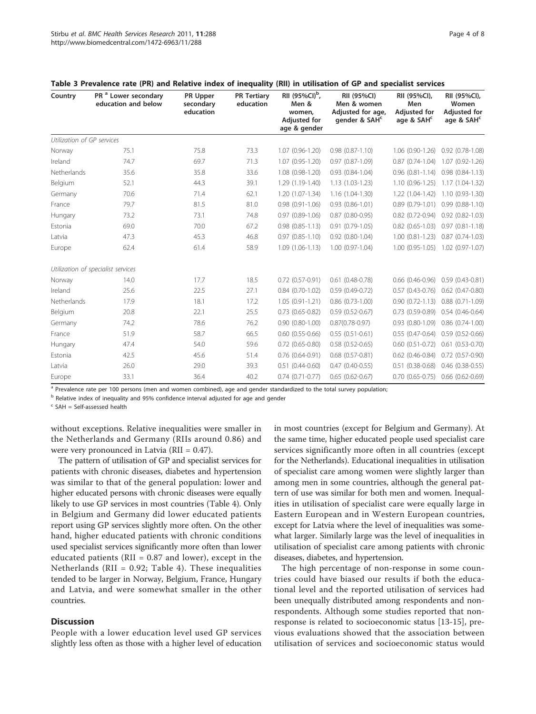| Country                    | PR <sup>a</sup> Lower secondary<br>education and below | <b>PR Upper</b><br>secondary<br>education | <b>PR Tertiary</b><br>education | RII (95%CI) <sup>b</sup> ,<br>Men &<br>women.<br><b>Adjusted for</b><br>age & gender | RII (95%CI)<br>Men & women<br>Adjusted for age,<br>gender & SAH <sup>c</sup> | RII (95%CI),<br>Men<br><b>Adjusted for</b><br>age & SAH <sup>c</sup> | RII (95%CI),<br>Women<br><b>Adjusted for</b><br>age & SAH <sup>c</sup> |
|----------------------------|--------------------------------------------------------|-------------------------------------------|---------------------------------|--------------------------------------------------------------------------------------|------------------------------------------------------------------------------|----------------------------------------------------------------------|------------------------------------------------------------------------|
| Utilization of GP services |                                                        |                                           |                                 |                                                                                      |                                                                              |                                                                      |                                                                        |
| Norway                     | 75.1                                                   | 75.8                                      | 73.3                            | 1.07 (0.96-1.20)                                                                     | $0.98$ $(0.87 - 1.10)$                                                       | $1.06(0.90-1.26)$                                                    | $0.92(0.78-1.08)$                                                      |
| Ireland                    | 74.7                                                   | 69.7                                      | 71.3                            | $1.07(0.95 - 1.20)$                                                                  | $0.97(0.87 - 1.09)$                                                          | $0.87(0.74-1.04)$                                                    | 1.07 (0.92-1.26)                                                       |
| Netherlands                | 35.6                                                   | 35.8                                      | 33.6                            | 1.08 (0.98-1.20)                                                                     | $0.93(0.84 - 1.04)$                                                          | $0.96(0.81 - 1.14)$                                                  | $0.98(0.84 - 1.13)$                                                    |
| Belgium                    | 52.1                                                   | 44.3                                      | 39.1                            | 1.29 (1.19-1.40)                                                                     | $1.13(1.03-1.23)$                                                            | $1.10(0.96 - 1.25)$                                                  | $1.17(1.04-1.32)$                                                      |
| Germany                    | 70.6                                                   | 71.4                                      | 62.1                            | 1.20 (1.07-1.34)                                                                     | $1.16(1.04-1.30)$                                                            | $1.22(1.04-1.42)$                                                    | 1.10 (0.93-1.30)                                                       |
| France                     | 79.7                                                   | 81.5                                      | 81.0                            | $0.98(0.91 - 1.06)$                                                                  | $0.93(0.86 - 1.01)$                                                          | $0.89(0.79-1.01)$                                                    | $0.99(0.88-1.10)$                                                      |
| Hungary                    | 73.2                                                   | 73.1                                      | 74.8                            | $0.97(0.89 - 1.06)$                                                                  | $0.87(0.80 - 0.95)$                                                          | $0.82$ $(0.72 - 0.94)$                                               | $0.92(0.82 - 1.03)$                                                    |
| Estonia                    | 69.0                                                   | 70.0                                      | 67.2                            | $0.98$ $(0.85 - 1.13)$                                                               | $0.91(0.79-1.05)$                                                            | $0.82$ $(0.65 - 1.03)$                                               | $0.97(0.81 - 1.18)$                                                    |
| Latvia                     | 47.3                                                   | 45.3                                      | 46.8                            | $0.97(0.85 - 1.10)$                                                                  | $0.92$ $(0.80 - 1.04)$                                                       | $1.00(0.81 - 1.23)$                                                  | $0.87(0.74-1.03)$                                                      |
| Europe                     | 62.4                                                   | 61.4                                      | 58.9                            | 1.09 (1.06-1.13)                                                                     | $1.00(0.97-1.04)$                                                            |                                                                      | 1.00 (0.95-1.05) 1.02 (0.97-1.07)                                      |
|                            | Utilization of specialist services                     |                                           |                                 |                                                                                      |                                                                              |                                                                      |                                                                        |
| Norway                     | 14.0                                                   | 17.7                                      | 18.5                            | $0.72$ $(0.57 - 0.91)$                                                               | $0.61(0.48-0.78)$                                                            |                                                                      | 0.66 (0.46-0.96) 0.59 (0.43-0.81)                                      |
| Ireland                    | 25.6                                                   | 22.5                                      | 27.1                            | $0.84(0.70-1.02)$                                                                    | $0.59(0.49-0.72)$                                                            | $0.57(0.43-0.76)$                                                    | $0.62$ (0.47-0.80)                                                     |
| Netherlands                | 17.9                                                   | 18.1                                      | 17.2                            | 1.05 (0.91-1.21)                                                                     | $0.86$ $(0.73 - 1.00)$                                                       | $0.90(0.72 - 1.13)$                                                  | $0.88(0.71-1.09)$                                                      |
| Belgium                    | 20.8                                                   | 22.1                                      | 25.5                            | $0.73$ $(0.65 - 0.82)$                                                               | $0.59(0.52 - 0.67)$                                                          | $0.73(0.59-0.89)$                                                    | $0.54(0.46 - 0.64)$                                                    |
| Germany                    | 74.2                                                   | 78.6                                      | 76.2                            | $0.90(0.80-1.00)$                                                                    | $0.87(0.78 - 0.97)$                                                          | $0.93(0.80-1.09)$                                                    | $0.86(0.74-1.00)$                                                      |
| France                     | 51.9                                                   | 58.7                                      | 66.5                            | $0.60$ $(0.55 - 0.66)$                                                               | $0.55(0.51-0.61)$                                                            | $0.55(0.47-0.64)$                                                    | $0.59(0.52 - 0.66)$                                                    |
| Hungary                    | 47.4                                                   | 54.0                                      | 59.6                            | $0.72$ $(0.65 - 0.80)$                                                               | $0.58(0.52 - 0.65)$                                                          | $0.60(0.51-0.72)$                                                    | $0.61(0.53-0.70)$                                                      |
| Estonia                    | 42.5                                                   | 45.6                                      | 51.4                            | $0.76$ $(0.64 - 0.91)$                                                               | $0.68$ $(0.57 - 0.81)$                                                       | $0.62$ $(0.46 - 0.84)$                                               | $0.72(0.57-0.90)$                                                      |
| Latvia                     | 26.0                                                   | 29.0                                      | 39.3                            | $0.51$ $(0.44 - 0.60)$                                                               | $0.47$ $(0.40 - 0.55)$                                                       | $0.51(0.38-0.68)$                                                    | $0.46$ $(0.38 - 0.55)$                                                 |
| Europe                     | 33.1                                                   | 36.4                                      | 40.2                            | $0.74(0.71-0.77)$                                                                    | $0.65(0.62 - 0.67)$                                                          |                                                                      | 0.70 (0.65-0.75) 0.66 (0.62-0.69)                                      |

<span id="page-3-0"></span>

| Table 3 Prevalence rate (PR) and Relative index of inequality (RII) in utilisation of GP and specialist services |  |  |  |  |  |
|------------------------------------------------------------------------------------------------------------------|--|--|--|--|--|
|------------------------------------------------------------------------------------------------------------------|--|--|--|--|--|

<sup>a</sup> Prevalence rate per 100 persons (men and women combined), age and gender standardized to the total survey population;

<sup>b</sup> Relative index of inequality and 95% confidence interval adjusted for age and gender

 $c$  SAH = Self-assessed health

without exceptions. Relative inequalities were smaller in the Netherlands and Germany (RIIs around 0.86) and were very pronounced in Latvia (RII = 0.47).

The pattern of utilisation of GP and specialist services for patients with chronic diseases, diabetes and hypertension was similar to that of the general population: lower and higher educated persons with chronic diseases were equally likely to use GP services in most countries (Table [4\)](#page-4-0). Only in Belgium and Germany did lower educated patients report using GP services slightly more often. On the other hand, higher educated patients with chronic conditions used specialist services significantly more often than lower educated patients (RII = 0.87 and lower), except in the Netherlands ( $RII = 0.92$ ; Table [4\)](#page-4-0). These inequalities tended to be larger in Norway, Belgium, France, Hungary and Latvia, and were somewhat smaller in the other countries.

## **Discussion**

People with a lower education level used GP services slightly less often as those with a higher level of education in most countries (except for Belgium and Germany). At the same time, higher educated people used specialist care services significantly more often in all countries (except for the Netherlands). Educational inequalities in utilisation of specialist care among women were slightly larger than among men in some countries, although the general pattern of use was similar for both men and women. Inequalities in utilisation of specialist care were equally large in Eastern European and in Western European countries, except for Latvia where the level of inequalities was somewhat larger. Similarly large was the level of inequalities in utilisation of specialist care among patients with chronic diseases, diabetes, and hypertension.

The high percentage of non-response in some countries could have biased our results if both the educational level and the reported utilisation of services had been unequally distributed among respondents and nonrespondents. Although some studies reported that nonresponse is related to socioeconomic status [[13-15](#page-6-0)], previous evaluations showed that the association between utilisation of services and socioeconomic status would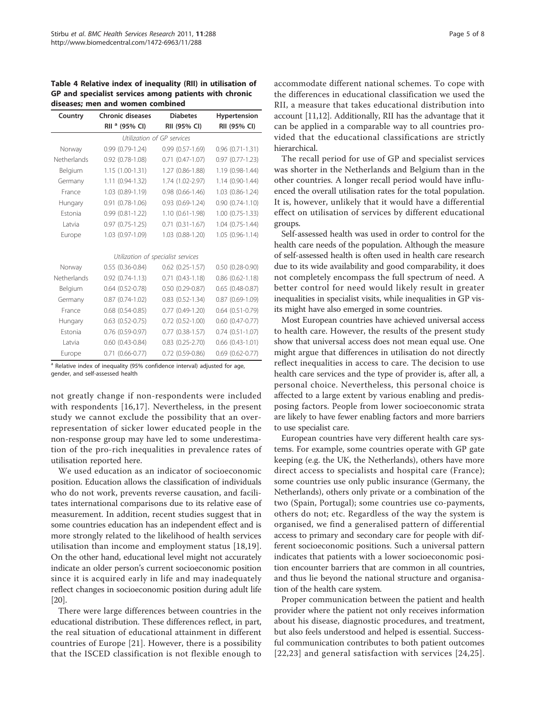<span id="page-4-0"></span>Table 4 Relative index of inequality (RII) in utilisation of GP and specialist services among patients with chronic diseases; men and women combined

| Country     | <b>Chronic diseases</b>            | <b>Diabetes</b>        | Hypertension           |  |  |  |  |  |
|-------------|------------------------------------|------------------------|------------------------|--|--|--|--|--|
|             | RII <sup>a</sup> (95% CI)          | RII (95% CI)           | RII (95% CI)           |  |  |  |  |  |
|             | Utilization of GP services         |                        |                        |  |  |  |  |  |
| Norway      | $0.99(0.79-1.24)$                  | $0.99(0.57-1.69)$      | $0.96(0.71-1.31)$      |  |  |  |  |  |
| Netherlands | $0.92$ $(0.78 - 1.08)$             | $0.71$ $(0.47 - 1.07)$ | $0.97$ $(0.77 - 1.23)$ |  |  |  |  |  |
| Belgium     | 1.15 (1.00-1.31)                   | 1.27 (0.86-1.88)       | 1.19 (0.98-1.44)       |  |  |  |  |  |
| Germany     | 1.11 (0.94-1.32)                   | 1.74 (1.02-2.97)       | 1.14 (0.90-1.44)       |  |  |  |  |  |
| France      | 1.03 (0.89-1.19)                   | $0.98$ $(0.66 - 1.46)$ | 1.03 (0.86-1.24)       |  |  |  |  |  |
| Hungary     | $0.91(0.78-1.06)$                  | $0.93$ $(0.69 - 1.24)$ | $0.90(0.74-1.10)$      |  |  |  |  |  |
| Estonia     | $0.99(0.81 - 1.22)$                | $1.10(0.61 - 1.98)$    | 1.00 (0.75-1.33)       |  |  |  |  |  |
| I atvia     | $0.97(0.75-1.25)$                  | $0.71$ $(0.31 - 1.67)$ | 1.04 (0.75-1.44)       |  |  |  |  |  |
| Europe      | 1.03 (0.97-1.09)                   | 1.03 (0.88-1.20)       | 1.05 (0.96-1.14)       |  |  |  |  |  |
|             |                                    |                        |                        |  |  |  |  |  |
|             | Utilization of specialist services |                        |                        |  |  |  |  |  |
| Norway      | $0.55(0.36-0.84)$                  | $0.62$ $(0.25 - 1.57)$ | $0.50(0.28-0.90)$      |  |  |  |  |  |
| Netherlands | $0.92(0.74-1.13)$                  | $0.71$ $(0.43 - 1.18)$ | $0.86$ $(0.62 - 1.18)$ |  |  |  |  |  |
| Belgium     | $0.64$ $(0.52 - 0.78)$             | $0.50(0.29 - 0.87)$    | $0.65$ $(0.48 - 0.87)$ |  |  |  |  |  |
| Germany     | $0.87(0.74-1.02)$                  | $0.83$ $(0.52 - 1.34)$ | $0.87(0.69-1.09)$      |  |  |  |  |  |
| Erance      | $0.68$ $(0.54 - 0.85)$             | $0.77$ $(0.49-1.20)$   | $0.64$ $(0.51 - 0.79)$ |  |  |  |  |  |
| Hungary     | $0.63$ $(0.52 - 0.75)$             | $0.72$ $(0.52 - 1.00)$ | $0.60$ $(0.47 - 0.77)$ |  |  |  |  |  |
| Estonia     | $0.76$ $(0.59 - 0.97)$             | $0.77$ $(0.38 - 1.57)$ | $0.74(0.51-1.07)$      |  |  |  |  |  |
| I atvia     | $0.60$ $(0.43 - 0.84)$             | $0.83$ $(0.25 - 2.70)$ | $0.66$ $(0.43 - 1.01)$ |  |  |  |  |  |
| Europe      | $0.71$ $(0.66 - 0.77)$             | 0.72 (0.59-0.86)       | $0.69$ $(0.62 - 0.77)$ |  |  |  |  |  |

<sup>a</sup> Relative index of inequality (95% confidence interval) adjusted for age, gender, and self-assessed health

not greatly change if non-respondents were included with respondents [[16,17\]](#page-6-0). Nevertheless, in the present study we cannot exclude the possibility that an overrepresentation of sicker lower educated people in the non-response group may have led to some underestimation of the pro-rich inequalities in prevalence rates of utilisation reported here.

We used education as an indicator of socioeconomic position. Education allows the classification of individuals who do not work, prevents reverse causation, and facilitates international comparisons due to its relative ease of measurement. In addition, recent studies suggest that in some countries education has an independent effect and is more strongly related to the likelihood of health services utilisation than income and employment status [[18,19](#page-6-0)]. On the other hand, educational level might not accurately indicate an older person's current socioeconomic position since it is acquired early in life and may inadequately reflect changes in socioeconomic position during adult life [[20](#page-6-0)].

There were large differences between countries in the educational distribution. These differences reflect, in part, the real situation of educational attainment in different countries of Europe [[21](#page-6-0)]. However, there is a possibility that the ISCED classification is not flexible enough to accommodate different national schemes. To cope with the differences in educational classification we used the RII, a measure that takes educational distribution into account [\[11,12\]](#page-6-0). Additionally, RII has the advantage that it can be applied in a comparable way to all countries provided that the educational classifications are strictly hierarchical.

The recall period for use of GP and specialist services was shorter in the Netherlands and Belgium than in the other countries. A longer recall period would have influenced the overall utilisation rates for the total population. It is, however, unlikely that it would have a differential effect on utilisation of services by different educational groups.

Self-assessed health was used in order to control for the health care needs of the population. Although the measure of self-assessed health is often used in health care research due to its wide availability and good comparability, it does not completely encompass the full spectrum of need. A better control for need would likely result in greater inequalities in specialist visits, while inequalities in GP visits might have also emerged in some countries.

Most European countries have achieved universal access to health care. However, the results of the present study show that universal access does not mean equal use. One might argue that differences in utilisation do not directly reflect inequalities in access to care. The decision to use health care services and the type of provider is, after all, a personal choice. Nevertheless, this personal choice is affected to a large extent by various enabling and predisposing factors. People from lower socioeconomic strata are likely to have fewer enabling factors and more barriers to use specialist care.

European countries have very different health care systems. For example, some countries operate with GP gate keeping (e.g. the UK, the Netherlands), others have more direct access to specialists and hospital care (France); some countries use only public insurance (Germany, the Netherlands), others only private or a combination of the two (Spain, Portugal); some countries use co-payments, others do not; etc. Regardless of the way the system is organised, we find a generalised pattern of differential access to primary and secondary care for people with different socioeconomic positions. Such a universal pattern indicates that patients with a lower socioeconomic position encounter barriers that are common in all countries, and thus lie beyond the national structure and organisation of the health care system.

Proper communication between the patient and health provider where the patient not only receives information about his disease, diagnostic procedures, and treatment, but also feels understood and helped is essential. Successful communication contributes to both patient outcomes [[22,23\]](#page-6-0) and general satisfaction with services [\[24,25\]](#page-6-0).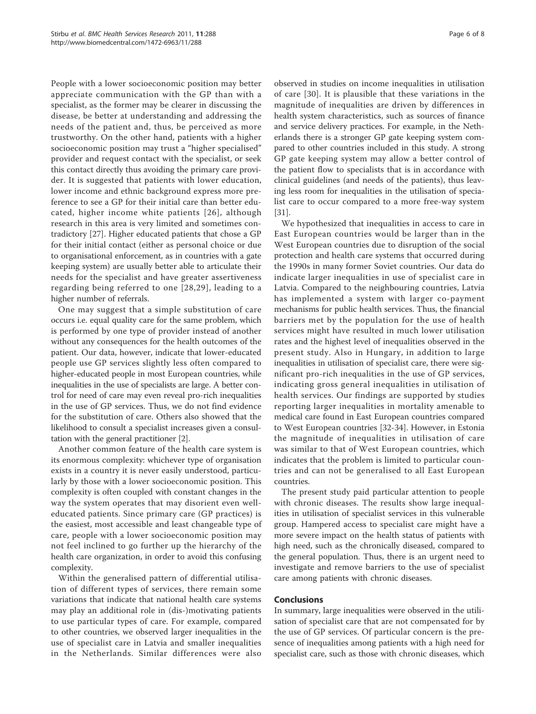People with a lower socioeconomic position may better appreciate communication with the GP than with a specialist, as the former may be clearer in discussing the disease, be better at understanding and addressing the needs of the patient and, thus, be perceived as more trustworthy. On the other hand, patients with a higher socioeconomic position may trust a "higher specialised" provider and request contact with the specialist, or seek this contact directly thus avoiding the primary care provider. It is suggested that patients with lower education, lower income and ethnic background express more preference to see a GP for their initial care than better educated, higher income white patients [[26\]](#page-6-0), although research in this area is very limited and sometimes contradictory [[27](#page-6-0)]. Higher educated patients that chose a GP for their initial contact (either as personal choice or due to organisational enforcement, as in countries with a gate keeping system) are usually better able to articulate their needs for the specialist and have greater assertiveness regarding being referred to one [[28](#page-6-0),[29\]](#page-6-0), leading to a higher number of referrals.

One may suggest that a simple substitution of care occurs i.e. equal quality care for the same problem, which is performed by one type of provider instead of another without any consequences for the health outcomes of the patient. Our data, however, indicate that lower-educated people use GP services slightly less often compared to higher-educated people in most European countries, while inequalities in the use of specialists are large. A better control for need of care may even reveal pro-rich inequalities in the use of GP services. Thus, we do not find evidence for the substitution of care. Others also showed that the likelihood to consult a specialist increases given a consultation with the general practitioner [\[2](#page-6-0)].

Another common feature of the health care system is its enormous complexity: whichever type of organisation exists in a country it is never easily understood, particularly by those with a lower socioeconomic position. This complexity is often coupled with constant changes in the way the system operates that may disorient even welleducated patients. Since primary care (GP practices) is the easiest, most accessible and least changeable type of care, people with a lower socioeconomic position may not feel inclined to go further up the hierarchy of the health care organization, in order to avoid this confusing complexity.

Within the generalised pattern of differential utilisation of different types of services, there remain some variations that indicate that national health care systems may play an additional role in (dis-)motivating patients to use particular types of care. For example, compared to other countries, we observed larger inequalities in the use of specialist care in Latvia and smaller inequalities in the Netherlands. Similar differences were also

observed in studies on income inequalities in utilisation of care [[30](#page-6-0)]. It is plausible that these variations in the magnitude of inequalities are driven by differences in health system characteristics, such as sources of finance and service delivery practices. For example, in the Netherlands there is a stronger GP gate keeping system compared to other countries included in this study. A strong GP gate keeping system may allow a better control of the patient flow to specialists that is in accordance with clinical guidelines (and needs of the patients), thus leaving less room for inequalities in the utilisation of specialist care to occur compared to a more free-way system [[31\]](#page-7-0).

We hypothesized that inequalities in access to care in East European countries would be larger than in the West European countries due to disruption of the social protection and health care systems that occurred during the 1990s in many former Soviet countries. Our data do indicate larger inequalities in use of specialist care in Latvia. Compared to the neighbouring countries, Latvia has implemented a system with larger co-payment mechanisms for public health services. Thus, the financial barriers met by the population for the use of health services might have resulted in much lower utilisation rates and the highest level of inequalities observed in the present study. Also in Hungary, in addition to large inequalities in utilisation of specialist care, there were significant pro-rich inequalities in the use of GP services, indicating gross general inequalities in utilisation of health services. Our findings are supported by studies reporting larger inequalities in mortality amenable to medical care found in East European countries compared to West European countries [\[32](#page-7-0)-[34](#page-7-0)]. However, in Estonia the magnitude of inequalities in utilisation of care was similar to that of West European countries, which indicates that the problem is limited to particular countries and can not be generalised to all East European countries.

The present study paid particular attention to people with chronic diseases. The results show large inequalities in utilisation of specialist services in this vulnerable group. Hampered access to specialist care might have a more severe impact on the health status of patients with high need, such as the chronically diseased, compared to the general population. Thus, there is an urgent need to investigate and remove barriers to the use of specialist care among patients with chronic diseases.

## Conclusions

In summary, large inequalities were observed in the utilisation of specialist care that are not compensated for by the use of GP services. Of particular concern is the presence of inequalities among patients with a high need for specialist care, such as those with chronic diseases, which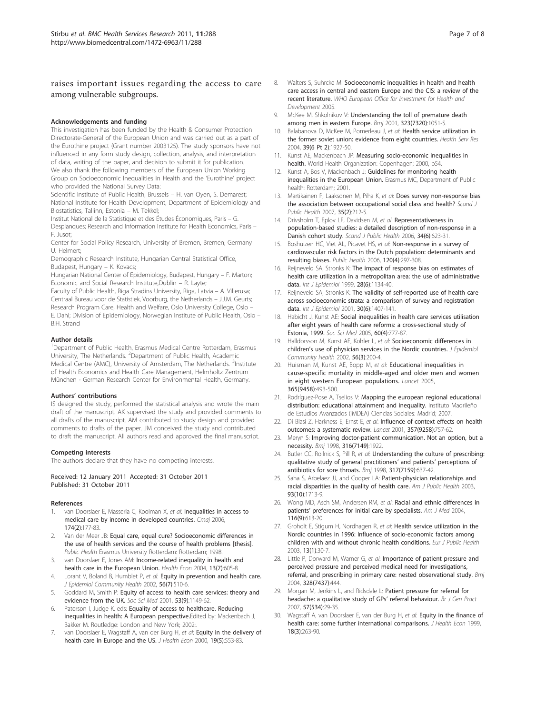<span id="page-6-0"></span>raises important issues regarding the access to care among vulnerable subgroups.

#### Acknowledgements and funding

This investigation has been funded by the Health & Consumer Protection Directorate-General of the European Union and was carried out as a part of the Eurothine project (Grant number 2003125). The study sponsors have not influenced in any form study design, collection, analysis, and interpretation of data, writing of the paper, and decision to submit it for publication. We also thank the following members of the European Union Working Group on Socioeconomic Inequalities in Health and the 'Eurothine' project who provided the National Survey Data:

Scientific Institute of Public Health, Brussels – H. van Oyen, S. Demarest; National Institute for Health Development, Department of Epidemiology and Biostatistics, Tallinn, Estonia – M. Tekkel;

Institut National de la Statistique et des Études Économiques, Paris – G. Desplanques; Research and Information Institute for Health Economics, Paris – F. Jusot;

Center for Social Policy Research, University of Bremen, Bremen, Germany – U. Helmert;

Demographic Research Institute, Hungarian Central Statistical Office, Budapest, Hungary – K. Kovacs;

Hungarian National Center of Epidemiology, Budapest, Hungary – F. Marton; Economic and Social Research Institute,Dublin – R. Layte;

Faculty of Public Health, Riga Stradins University, Riga, Latvia – A. Villerusa; Centraal Bureau voor de Statistiek, Voorburg, the Netherlands – J.J.M. Geurts; Research Program Care, Health and Welfare, Oslo University College, Oslo – E. Dahl; Division of Epidemiology, Norwegian Institute of Public Health, Oslo – B.H. Strand

#### Author details

<sup>1</sup>Department of Public Health, Erasmus Medical Centre Rotterdam, Erasmus University, The Netherlands. <sup>2</sup>Department of Public Health, Academic Medical Centre (AMC), University of Amsterdam, The Netherlands. <sup>3</sup>Institute of Health Economics and Health Care Management, Helmholtz Zentrum München - German Research Center for Environmental Health, Germany.

#### Authors' contributions

IS designed the study, performed the statistical analysis and wrote the main draft of the manuscript. AK supervised the study and provided comments to all drafts of the manuscript. AM contributed to study design and provided comments to drafts of the paper. JM conceived the study and contributed to draft the manuscript. All authors read and approved the final manuscript.

#### Competing interests

The authors declare that they have no competing interests.

#### Received: 12 January 2011 Accepted: 31 October 2011 Published: 31 October 2011

#### References

- van Doorslaer E, Masseria C, Koolman X, et al: [Inequalities in access to](http://www.ncbi.nlm.nih.gov/pubmed/16415462?dopt=Abstract) [medical care by income in developed countries.](http://www.ncbi.nlm.nih.gov/pubmed/16415462?dopt=Abstract) Cmaj 2006, 174(2):177-83.
- 2. Van der Meer JB: Equal care, equal cure? Socioeconomic differences in the use of health services and the course of health problems [thesis]. Public Health Erasmus University Rotterdam: Rotterdam; 1998.
- 3. van Doorslaer E, Jones AM: [Income-related inequality in health and](http://www.ncbi.nlm.nih.gov/pubmed/15259041?dopt=Abstract) [health care in the European Union.](http://www.ncbi.nlm.nih.gov/pubmed/15259041?dopt=Abstract) Health Econ 2004, 13(7):605-8.
- 4. Lorant V, Boland B, Humblet P, et al: [Equity in prevention and health care.](http://www.ncbi.nlm.nih.gov/pubmed/12080158?dopt=Abstract) J Epidemiol Community Health 2002, 56(7):510-6.
- 5. Goddard M, Smith P: [Equity of access to health care services: theory and](http://www.ncbi.nlm.nih.gov/pubmed/11556606?dopt=Abstract) [evidence from the UK.](http://www.ncbi.nlm.nih.gov/pubmed/11556606?dopt=Abstract) Soc Sci Med 2001, 53(9):1149-62.
- 6. Paterson I, Judge K, eds: Equality of access to healthcare. Reducing inequalities in health: A European perspective.Edited by: Mackenbach J, Bakker M. Routledge: London and New York; 2002:.
- van Doorslaer E, Wagstaff A, van der Burg H, et al: [Equity in the delivery of](http://www.ncbi.nlm.nih.gov/pubmed/11184794?dopt=Abstract) [health care in Europe and the US.](http://www.ncbi.nlm.nih.gov/pubmed/11184794?dopt=Abstract) J Health Econ 2000, 19(5):553-83.

Page 7 of 8

- 8. Walters S, Suhrcke M: Socioeconomic inequalities in health and health care access in central and eastern Europe and the CIS: a review of the recent literature. WHO European Office for Investment for Health and Development 2005.
- 9. McKee M, Shkolnikov V: [Understanding the toll of premature death](http://www.ncbi.nlm.nih.gov/pubmed/11691766?dopt=Abstract) [among men in eastern Europe.](http://www.ncbi.nlm.nih.gov/pubmed/11691766?dopt=Abstract) Bmi 2001, 323(7320):1051-5
- 10. Balabanova D, McKee M, Pomerleau J, et al: [Health service utilization in](http://www.ncbi.nlm.nih.gov/pubmed/15544638?dopt=Abstract) [the former soviet union: evidence from eight countries.](http://www.ncbi.nlm.nih.gov/pubmed/15544638?dopt=Abstract) Health Serv Res 2004, 39(6 Pt 2):1927-50.
- 11. Kunst AE, Mackenbach JP: Measuring socio-economic inequalities in health. World Health Organization: Copenhagen; 2000, p54.
- 12. Kunst A, Bos V, Mackenbach J: Guidelines for monitoring health inequalities in the European Union. Erasmus MC, Department of Public health: Rotterdam; 2001.
- 13. Martikainen P, Laaksonen M, Piha K, et al: [Does survey non-response bias](http://www.ncbi.nlm.nih.gov/pubmed/17454926?dopt=Abstract) [the association between occupational social class and health?](http://www.ncbi.nlm.nih.gov/pubmed/17454926?dopt=Abstract) Scand J Public Health 2007, 35(2):212-5.
- 14. Drivsholm T, Eplov LF, Davidsen M, et al: [Representativeness in](http://www.ncbi.nlm.nih.gov/pubmed/17132596?dopt=Abstract) [population-based studies: a detailed description of non-response in a](http://www.ncbi.nlm.nih.gov/pubmed/17132596?dopt=Abstract) [Danish cohort study.](http://www.ncbi.nlm.nih.gov/pubmed/17132596?dopt=Abstract) Scand J Public Health 2006, 34(6):623-31.
- 15. Boshuizen HC, Viet AL, Picavet HS, et al: [Non-response](http://www.ncbi.nlm.nih.gov/pubmed/16364384?dopt=Abstract) in a survey of [cardiovascular risk factors in the Dutch population: determinants and](http://www.ncbi.nlm.nih.gov/pubmed/16364384?dopt=Abstract) [resulting biases.](http://www.ncbi.nlm.nih.gov/pubmed/16364384?dopt=Abstract) Public Health 2006, 120(4):297-308.
- 16. Reijneveld SA, Stronks K: [The impact of response bias on estimates of](http://www.ncbi.nlm.nih.gov/pubmed/10661659?dopt=Abstract) [health care utilization in a metropolitan area: the use of administrative](http://www.ncbi.nlm.nih.gov/pubmed/10661659?dopt=Abstract) [data.](http://www.ncbi.nlm.nih.gov/pubmed/10661659?dopt=Abstract) Int J Epidemiol 1999, 28(6):1134-40.
- 17. Reijneveld SA, Stronks K: [The validity of self-reported use of health care](http://www.ncbi.nlm.nih.gov/pubmed/11821355?dopt=Abstract) [across socioeconomic strata: a comparison of survey and registration](http://www.ncbi.nlm.nih.gov/pubmed/11821355?dopt=Abstract) [data.](http://www.ncbi.nlm.nih.gov/pubmed/11821355?dopt=Abstract) Int J Epidemiol 2001, 30(6):1407-141.
- 18. Habicht J, Kunst AE: [Social inequalities in health care services utilisation](http://www.ncbi.nlm.nih.gov/pubmed/15571895?dopt=Abstract) [after eight years of health care reforms: a cross-sectional study of](http://www.ncbi.nlm.nih.gov/pubmed/15571895?dopt=Abstract) [Estonia, 1999.](http://www.ncbi.nlm.nih.gov/pubmed/15571895?dopt=Abstract) Soc Sci Med 2005, 60(4):777-87.
- 19. Halldorsson M, Kunst AE, Kohler L, et al: [Socioeconomic differences in](http://www.ncbi.nlm.nih.gov/pubmed/11854341?dopt=Abstract) children'[s use of physician services in the Nordic countries.](http://www.ncbi.nlm.nih.gov/pubmed/11854341?dopt=Abstract) J Epidemiol Community Health 2002, 56(3):200-4.
- 20. Huisman M, Kunst AE, Bopp M, et al: [Educational inequalities in](http://www.ncbi.nlm.nih.gov/pubmed/15705459?dopt=Abstract) [cause-specific mortality in middle-aged and older men and women](http://www.ncbi.nlm.nih.gov/pubmed/15705459?dopt=Abstract) [in eight western European populations.](http://www.ncbi.nlm.nih.gov/pubmed/15705459?dopt=Abstract) Lancet 2005, 365(9458):493-500.
- 21. Rodríguez-Pose A, Tselios V: Mapping the european regional educational distribution: educational attainment and inequality. Instituto Madrileño de Estudios Avanzados (IMDEA) Ciencias Sociales: Madrid; 2007.
- 22. Di Blasi Z, Harkness E, Ernst E, et al: [Influence of context effects on health](http://www.ncbi.nlm.nih.gov/pubmed/11253970?dopt=Abstract) [outcomes: a systematic review.](http://www.ncbi.nlm.nih.gov/pubmed/11253970?dopt=Abstract) Lancet 2001, 357(9258):757-62.
- 23. Meryn S: [Improving doctor-patient communication. Not an option, but a](http://www.ncbi.nlm.nih.gov/pubmed/9641926?dopt=Abstract) [necessity.](http://www.ncbi.nlm.nih.gov/pubmed/9641926?dopt=Abstract) Bmj 1998, 316(7149):1922.
- 24. Butler CC, Rollnick S, Pill R, et al: [Understanding the culture of prescribing:](http://www.ncbi.nlm.nih.gov/pubmed/9727992?dopt=Abstract) [qualitative study of general practitioners](http://www.ncbi.nlm.nih.gov/pubmed/9727992?dopt=Abstract)' and patients' perceptions of [antibiotics for sore throats.](http://www.ncbi.nlm.nih.gov/pubmed/9727992?dopt=Abstract) Bmj 1998, 317(7159):637-42.
- 25. Saha S, Arbelaez JJ, and Cooper LA: [Patient-physician relationships and](http://www.ncbi.nlm.nih.gov/pubmed/14534227?dopt=Abstract) [racial disparities in the quality of health care.](http://www.ncbi.nlm.nih.gov/pubmed/14534227?dopt=Abstract) Am J Public Health 2003, 93(10):1713-9.
- 26. Wong MD, Asch SM, Andersen RM, et al: [Racial and ethnic differences in](http://www.ncbi.nlm.nih.gov/pubmed/15093758?dopt=Abstract) patients' [preferences for initial care by specialists.](http://www.ncbi.nlm.nih.gov/pubmed/15093758?dopt=Abstract) Am J Med 2004, 116(9):613-20.
- 27. Groholt E, Stigum H, Nordhagen R, et al: [Health service utilization in the](http://www.ncbi.nlm.nih.gov/pubmed/12678311?dopt=Abstract) [Nordic countries in 1996: Influence of socio-economic factors among](http://www.ncbi.nlm.nih.gov/pubmed/12678311?dopt=Abstract) [children with and without chronic health conditions.](http://www.ncbi.nlm.nih.gov/pubmed/12678311?dopt=Abstract) Eur J Public Health 2003, 13(1):30-7.
- 28. Little P, Dorward M, Warner G, et al: [Importance of patient pressure and](http://www.ncbi.nlm.nih.gov/pubmed/14966079?dopt=Abstract) [perceived pressure and perceived medical need for investigations,](http://www.ncbi.nlm.nih.gov/pubmed/14966079?dopt=Abstract) [referral, and prescribing in primary care: nested observational study.](http://www.ncbi.nlm.nih.gov/pubmed/14966079?dopt=Abstract) Bmj 2004, 328(7437):444.
- 29. Morgan M, Jenkins L, and Ridsdale L: [Patient pressure for referral for](http://www.ncbi.nlm.nih.gov/pubmed/17244421?dopt=Abstract) [headache: a qualitative study of GPs](http://www.ncbi.nlm.nih.gov/pubmed/17244421?dopt=Abstract)' referral behaviour. Br J Gen Pract 2007, 57(534):29-35.
- 30. Wagstaff A, van Doorslaer E, van der Burg H, et al: [Equity in the finance of](http://www.ncbi.nlm.nih.gov/pubmed/10537896?dopt=Abstract) [health care: some further international comparisons.](http://www.ncbi.nlm.nih.gov/pubmed/10537896?dopt=Abstract) J Health Econ 1999, 18(3):263-90.